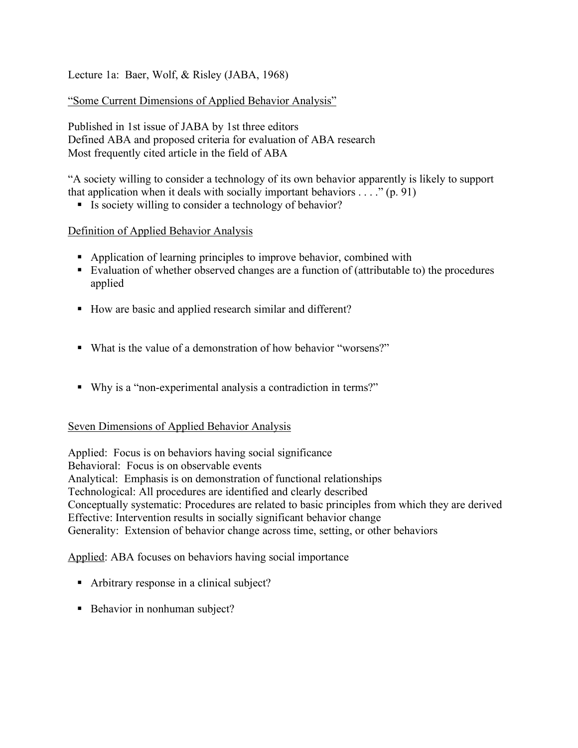Lecture 1a: Baer, Wolf, & Risley (JABA, 1968)

"Some Current Dimensions of Applied Behavior Analysis"

Published in 1st issue of JABA by 1st three editors Defined ABA and proposed criteria for evaluation of ABA research Most frequently cited article in the field of ABA

"A society willing to consider a technology of its own behavior apparently is likely to support that application when it deals with socially important behaviors  $\dots$  " (p. 91)

Is society willing to consider a technology of behavior?

Definition of Applied Behavior Analysis

- Application of learning principles to improve behavior, combined with
- Evaluation of whether observed changes are a function of (attributable to) the procedures applied
- How are basic and applied research similar and different?
- What is the value of a demonstration of how behavior "worsens?"
- Why is a "non-experimental analysis a contradiction in terms?"

## Seven Dimensions of Applied Behavior Analysis

Applied: Focus is on behaviors having social significance Behavioral: Focus is on observable events Analytical: Emphasis is on demonstration of functional relationships Technological: All procedures are identified and clearly described Conceptually systematic: Procedures are related to basic principles from which they are derived Effective: Intervention results in socially significant behavior change Generality: Extension of behavior change across time, setting, or other behaviors

## Applied: ABA focuses on behaviors having social importance

- Arbitrary response in a clinical subject?
- Behavior in nonhuman subject?